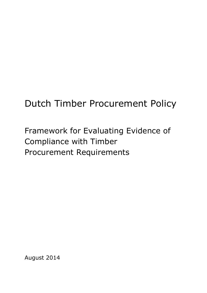# Dutch Timber Procurement Policy

Framework for Evaluating Evidence of Compliance with Timber Procurement Requirements

August 2014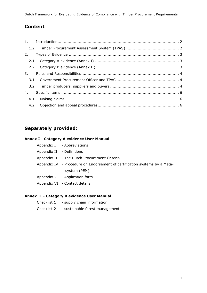# **Content**

| 2. |  |
|----|--|
|    |  |
|    |  |
|    |  |
|    |  |
|    |  |
| 4. |  |
|    |  |
|    |  |

# **Separately provided:**

#### **Annex I - Category A evidence User Manual**

Appendix I - Abbreviations

Appendix II - Definitions

- Appendix III The Dutch Procurement Criteria
- Appendix IV Procedure on Endorsement of certification systems by a Metasystem (PEM)
- Appendix V Application form
- Appendix VI Contact details

#### **Annex II - Category B evidence User Manual**

- Checklist 1 supply chain information
- Checklist 2 sustainable forest management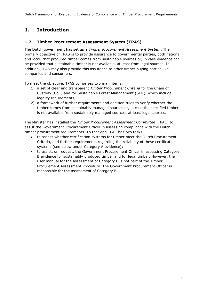# <span id="page-2-0"></span>**1. Introduction**

#### <span id="page-2-1"></span>**1.2 Timber Procurement Assessment System (TPAS)**

The Dutch government has set up a *Timber Procurement Assessment System*. The primary objective of TPAS is to provide assurance to governmental parties, both national and local, that procured timber comes from sustainable sources or, in case evidence can be provided that sustainable timber is not available, at least from legal sources. In addition, TPAS may also provide this assurance to other timber buying parties like companies and consumers.

To meet the objective, TPAS comprises two main items:

- 1) a set of clear and transparent *Timber Procurement Criteria* for the Chain of Custody (CoC) and for Sustainable Forest Management (SFM), which include legality requirements;
- 2) a framework of further requirements and decision rules to verify whether the timber comes from sustainably managed sources or, in case the specified timber is not available from sustainably managed sources, at least legal sources.

The Minister has installed the *Timber Procurement Assessment Committee* (TPAC) to assist the Government Procurement Officer in assessing compliance with the Dutch timber procurement requirements. To that end TPAC has two tasks:

- to assess whether certification systems for timber meet the Dutch Procurement Criteria, and further requirements regarding the reliability of these certification systems (see below under Category A evidence);
- to assist, on request, the Government Procurement Officer in assessing Category B evidence for sustainably produced timber and for legal timber. However, the user manual for the assessment of Category B is not part of the Timber Procurement Assessment Procedure. The Government Procurement Officer is responsible for the assessment of Category B.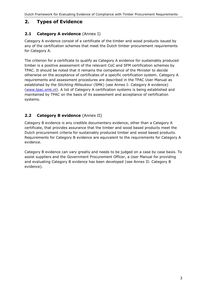## <span id="page-3-0"></span>**2. Types of Evidence**

#### <span id="page-3-1"></span>**2.1 Category A evidence** (Annex I)

Category A evidence consist of a certificate of the timber and wood products issued by any of the certification schemes that meet the Dutch timber procurement requirements for Category A.

The criterion for a certificate to qualify as Category A evidence for sustainably produced timber is a positive assessment of the relevant CoC and SFM certification schemes by TPAC. It should be noted that it remains the competence of the Minister to decide otherwise on the acceptance of certificates of a specific certification system. Category A requirements and assessment procedures are described in the TPAC User Manual as established by the *Stichting Milieukeur* (SMK) (see Annex I: Category A evidence) [\(www.tpac.smk.nl\)](http://www.tpac.smk.nl/). A list of Category A certification systems is being established and maintained by TPAC on the basis of its assessment and acceptance of certification systems.

#### <span id="page-3-2"></span>**2.2 Category B evidence** (Annex II)

Category B evidence is any credible documentary evidence, other than a Category A certificate, that provides assurance that the timber and wood based products meet the Dutch procurement criteria for sustainably produced timber and wood based products. Requirements for Category B evidence are equivalent to the requirements for Category A evidence.

Category B evidence can vary greatly and needs to be judged on a case by case basis. To assist suppliers and the Government Procurement Officer, a User Manual for providing and evaluating Category B evidence has been developed (see Annex II: Category B evidence).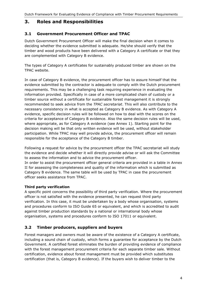## <span id="page-4-0"></span>**3. Roles and Responsibilities**

#### <span id="page-4-1"></span>**3.1 Government Procurement Officer and TPAC**

Dutch Government Procurement Officer will make the final decision when it comes to deciding whether the evidence submitted is adequate. He/she should verify that the timber and wood products have been delivered with a Category A certificate or that they are complemented with Category B evidence.

The types of Category A certificates for sustainably produced timber are shown on the TPAC website.

In case of Category B evidence, the procurement officer has to assure himself that the evidence submitted by the contractor is adequate to comply with the Dutch procurement requirements. This may be a challenging task requiring experience in evaluating the information provided. Specifically in case of a more complicated chain of custody or a timber source without a certificate for sustainable forest management it is strongly recommended to seek advice from the *TPAC secretariat*. This will also contribute to the necessary consistency in what is accepted as Category B evidence. As with Category A evidence, specific decision rules will be followed on how to deal with the scores on the criteria for acceptance of Category B evidence. Also the same decision rules will be used, where appropriate, as for Category A evidence (see Annex 1). Starting point for the decision making will be that only written evidence will be used, without stakeholder participation. While TPAC may well provide advice, the procurement officer will remain responsible for the acceptance of the Category B timber.

Following a request for advice by the procurement officer the TPAC secretariat will study the evidence and decide whether it will directly provide advise or will ask the Committee to assess the information and to advice the procurement officer. In order to assist the procurement officer general criteria are provided in a table in Annex II for assessing the completeness and quality of the information which is submitted as Category B evidence. The same table will be used by TPAC in case the procurement officer seeks assistance from TPAC.

#### **Third party verification**

A specific point concerns the possibility of third party verification. Where the procurement officer is not satisfied with the evidence presented, he can request third party verification. In this case, it must be undertaken by a body whose organisation, systems and procedures conform to ISO Guide 65 or equivalent, and which is accredited to audit against timber production standards by a national or international body whose organisation, systems and procedures conform to ISO 17011 or equivalent.

### <span id="page-4-2"></span>**3.2 Timber producers, suppliers and buyers**

Forest managers and owners must be aware of the existence of a Category A certificate, including a sound chain of custody, which forms a guarantee for acceptance by the Dutch Government. A certified forest eliminates the burden of providing evidence of compliance with the forest management procurement criteria for each separate timber sale. Without certification, evidence about forest management must be provided which substitutes certification (that is, Category B evidence). If the buyers wish to deliver timber to the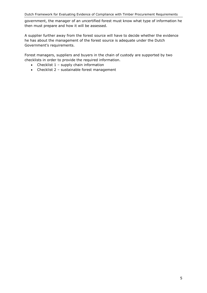government, the manager of an uncertified forest must know what type of information he then must prepare and how it will be assessed.

A supplier further away from the forest source will have to decide whether the evidence he has about the management of the forest source is adequate under the Dutch Government's requirements.

Forest managers, suppliers and buyers in the chain of custody are supported by two checklists in order to provide the required information.

- Checklist  $1$  supply chain information
- Checklist 2 sustainable forest management